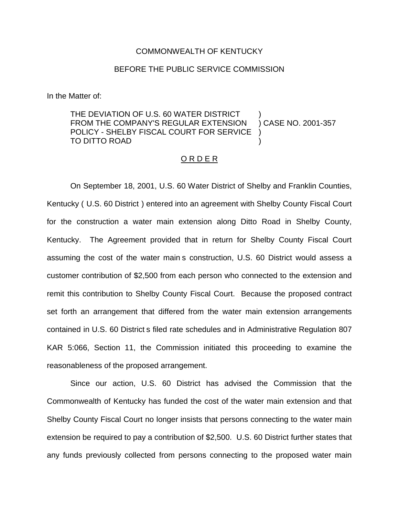## COMMONWEALTH OF KENTUCKY

## BEFORE THE PUBLIC SERVICE COMMISSION

In the Matter of:

THE DEVIATION OF U.S. 60 WATER DISTRICT FROM THE COMPANY'S REGULAR EXTENSION POLICY - SHELBY FISCAL COURT FOR SERVICE TO DITTO ROAD ) ) CASE NO. 2001-357 ) )

## O R D E R

On September 18, 2001, U.S. 60 Water District of Shelby and Franklin Counties, Kentucky ( U.S. 60 District ) entered into an agreement with Shelby County Fiscal Court for the construction a water main extension along Ditto Road in Shelby County, Kentucky. The Agreement provided that in return for Shelby County Fiscal Court assuming the cost of the water main s construction, U.S. 60 District would assess a customer contribution of \$2,500 from each person who connected to the extension and remit this contribution to Shelby County Fiscal Court. Because the proposed contract set forth an arrangement that differed from the water main extension arrangements contained in U.S. 60 District s filed rate schedules and in Administrative Regulation 807 KAR 5:066, Section 11, the Commission initiated this proceeding to examine the reasonableness of the proposed arrangement.

Since our action, U.S. 60 District has advised the Commission that the Commonwealth of Kentucky has funded the cost of the water main extension and that Shelby County Fiscal Court no longer insists that persons connecting to the water main extension be required to pay a contribution of \$2,500. U.S. 60 District further states that any funds previously collected from persons connecting to the proposed water main